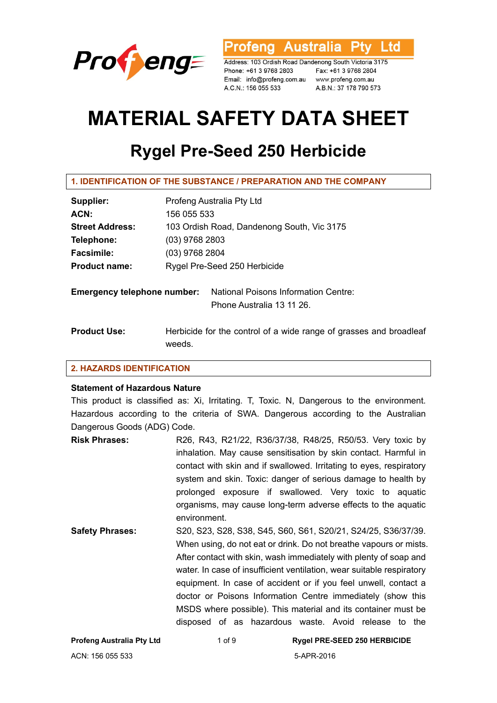

rofeng Australia **Ptv** l td

Address: 103 Ordish Road Dandenong South Victoria 3175 Phone: +61 3 9768 2803 Fax: +61 3 9768 2804 Email: info@profeng.com.au www.profeng.com.au A.C.N.: 156 055 533

A.B.N.: 37 178 790 573

# **MATERIAL SAFETY DATA SHEET**

## **Rygel Pre-Seed 250 Herbicide**

**1. IDENTIFICATION OF THE SUBSTANCE / PREPARATION AND THE COMPANY** 

| Supplier:                          | Profeng Australia Pty Ltd                                                    |  |  |
|------------------------------------|------------------------------------------------------------------------------|--|--|
| ACN:                               | 156 055 533                                                                  |  |  |
| <b>Street Address:</b>             | 103 Ordish Road, Dandenong South, Vic 3175                                   |  |  |
| Telephone:                         | $(03)$ 9768 2803                                                             |  |  |
| <b>Facsimile:</b>                  | (03) 9768 2804                                                               |  |  |
| <b>Product name:</b>               | Rygel Pre-Seed 250 Herbicide                                                 |  |  |
| <b>Emergency telephone number:</b> | National Poisons Information Centre:<br>Phone Australia 13 11 26.            |  |  |
| <b>Product Use:</b>                | Herbicide for the control of a wide range of grasses and broadleaf<br>weeds. |  |  |

#### **2. HAZARDS IDENTIFICATION**

#### **Statement of Hazardous Nature**

This product is classified as: Xi, Irritating. T, Toxic. N, Dangerous to the environment. Hazardous according to the criteria of SWA. Dangerous according to the Australian Dangerous Goods (ADG) Code.

| <b>Risk Phrases:</b>   | R26, R43, R21/22, R36/37/38, R48/25, R50/53. Very toxic by          |
|------------------------|---------------------------------------------------------------------|
|                        | inhalation. May cause sensitisation by skin contact. Harmful in     |
|                        | contact with skin and if swallowed. Irritating to eyes, respiratory |
|                        | system and skin. Toxic: danger of serious damage to health by       |
|                        | prolonged exposure if swallowed. Very toxic to aquatic              |
|                        | organisms, may cause long-term adverse effects to the aquatic       |
|                        | environment.                                                        |
| <b>Safety Phrases:</b> | S20, S23, S28, S38, S45, S60, S61, S20/21, S24/25, S36/37/39.       |
|                        | When using, do not eat or drink. Do not breathe vapours or mists.   |
|                        | After contact with skin, wash immediately with plenty of soap and   |

water. In case of insufficient ventilation, wear suitable respiratory equipment. In case of accident or if you feel unwell, contact a doctor or Poisons Information Centre immediately (show this MSDS where possible). This material and its container must be disposed of as hazardous waste. Avoid release to the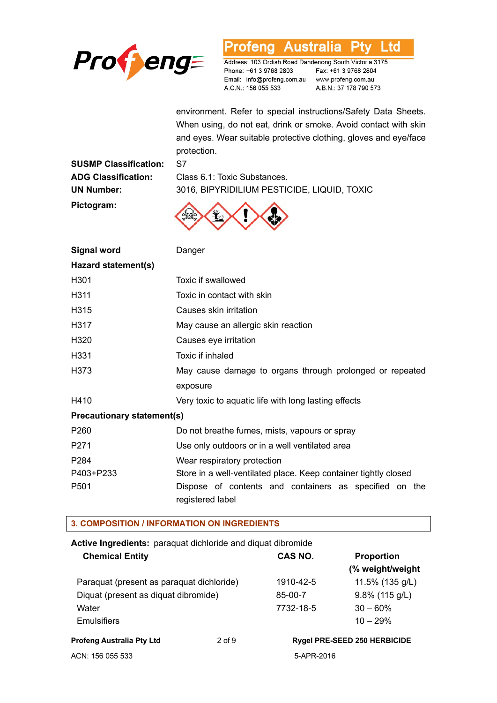

#### Profeng Australia **Ptv** Ltd

Address: 103 Ordish Road Dandenong South Victoria 3175 Phone: +61 3 9768 2803 Email: info@profeng.com.au www.profeng.com.au A.C.N.: 156 055 533

Fax: +61 3 9768 2804 A.B.N.: 37 178 790 573

environment. Refer to special instructions/Safety Data Sheets. When using, do not eat, drink or smoke. Avoid contact with skin and eyes. Wear suitable protective clothing, gloves and eye/face protection.

**SUSMP Classification:** S7 **Pictogram:** 

**ADG Classification:** Class 6.1: Toxic Substances. **UN Number:** 3016, BIPYRIDILIUM PESTICIDE, LIQUID, TOXIC



| <b>Signal word</b>                | Danger                                                                     |  |  |
|-----------------------------------|----------------------------------------------------------------------------|--|--|
| Hazard statement(s)               |                                                                            |  |  |
| H301                              | Toxic if swallowed                                                         |  |  |
| H <sub>3</sub> 11                 | Toxic in contact with skin                                                 |  |  |
| H <sub>315</sub>                  | Causes skin irritation                                                     |  |  |
| H317                              | May cause an allergic skin reaction                                        |  |  |
| H <sub>320</sub>                  | Causes eye irritation                                                      |  |  |
| H <sub>331</sub>                  | Toxic if inhaled                                                           |  |  |
| H373                              | May cause damage to organs through prolonged or repeated                   |  |  |
|                                   | exposure                                                                   |  |  |
| H410                              | Very toxic to aquatic life with long lasting effects                       |  |  |
| <b>Precautionary statement(s)</b> |                                                                            |  |  |
| P <sub>260</sub>                  | Do not breathe fumes, mists, vapours or spray                              |  |  |
| P <sub>271</sub>                  | Use only outdoors or in a well ventilated area                             |  |  |
| P <sub>284</sub>                  | Wear respiratory protection                                                |  |  |
| P403+P233                         | Store in a well-ventilated place. Keep container tightly closed            |  |  |
| P <sub>501</sub>                  | Dispose of contents and containers as specified on the<br>registered label |  |  |

#### **3. COMPOSITION / INFORMATION ON INGREDIENTS**

| <b>Active Ingredients:</b> paraquat dichloride and diquat dibromide |          |            |                                     |
|---------------------------------------------------------------------|----------|------------|-------------------------------------|
| <b>Chemical Entity</b>                                              |          | CAS NO.    | <b>Proportion</b>                   |
|                                                                     |          |            | (% weight/weight                    |
| Paraquat (present as paraquat dichloride)                           |          | 1910-42-5  | 11.5% (135 g/L)                     |
| Diquat (present as diquat dibromide)                                |          | 85-00-7    | $9.8\%$ (115 g/L)                   |
| Water                                                               |          | 7732-18-5  | $30 - 60\%$                         |
| <b>Emulsifiers</b>                                                  |          |            | $10 - 29%$                          |
| <b>Profeng Australia Pty Ltd</b>                                    | $2$ of 9 |            | <b>Rygel PRE-SEED 250 HERBICIDE</b> |
| ACN: 156 055 533                                                    |          | 5-APR-2016 |                                     |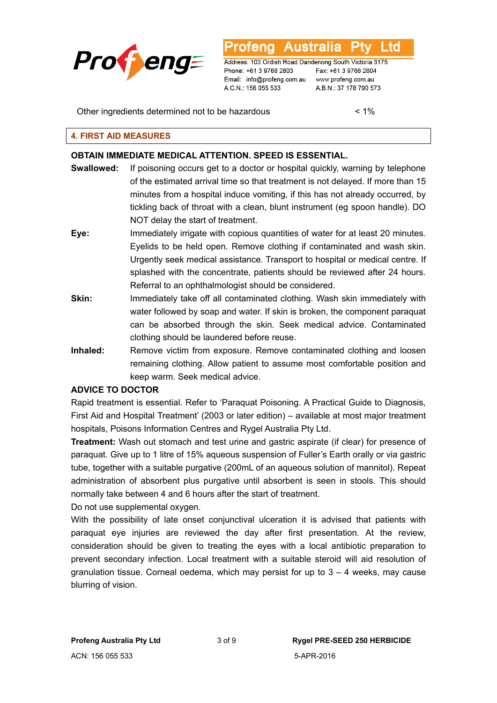

Australia L td

Address: 103 Ordish Road Dandenong South Victoria 3175 Phone: +61 3 9768 2803 Email: info@profeng.com.au www.profeng.com.au A.C.N.: 156 055 533

Fax: +61 3 9768 2804 A.B.N.: 37 178 790 573

Other ingredients determined not to be hazardous < 1%

#### **4. FIRST AID MEASURES**

#### **OBTAIN IMMEDIATE MEDICAL ATTENTION. SPEED IS ESSENTIAL.**

- **Swallowed:** If poisoning occurs get to a doctor or hospital quickly, warning by telephone of the estimated arrival time so that treatment is not delayed. If more than 15 minutes from a hospital induce vomiting, if this has not already occurred, by tickling back of throat with a clean, blunt instrument (eg spoon handle). DO NOT delay the start of treatment.
- **Eye:** Immediately irrigate with copious quantities of water for at least 20 minutes. Eyelids to be held open. Remove clothing if contaminated and wash skin. Urgently seek medical assistance. Transport to hospital or medical centre. If splashed with the concentrate, patients should be reviewed after 24 hours. Referral to an ophthalmologist should be considered.
- **Skin:** Immediately take off all contaminated clothing. Wash skin immediately with water followed by soap and water. If skin is broken, the component paraquat can be absorbed through the skin. Seek medical advice. Contaminated clothing should be laundered before reuse.
- **Inhaled:** Remove victim from exposure. Remove contaminated clothing and loosen remaining clothing. Allow patient to assume most comfortable position and keep warm. Seek medical advice.

#### **ADVICE TO DOCTOR**

Rapid treatment is essential. Refer to 'Paraquat Poisoning. A Practical Guide to Diagnosis, First Aid and Hospital Treatment' (2003 or later edition) – available at most major treatment hospitals, Poisons Information Centres and Rygel Australia Pty Ltd.

**Treatment:** Wash out stomach and test urine and gastric aspirate (if clear) for presence of paraquat. Give up to 1 litre of 15% aqueous suspension of Fuller's Earth orally or via gastric tube, together with a suitable purgative (200mL of an aqueous solution of mannitol). Repeat administration of absorbent plus purgative until absorbent is seen in stools. This should normally take between 4 and 6 hours after the start of treatment.

Do not use supplemental oxygen.

With the possibility of late onset conjunctival ulceration it is advised that patients with paraquat eye injuries are reviewed the day after first presentation. At the review, consideration should be given to treating the eyes with a local antibiotic preparation to prevent secondary infection. Local treatment with a suitable steroid will aid resolution of granulation tissue. Corneal oedema, which may persist for up to  $3 - 4$  weeks, may cause blurring of vision.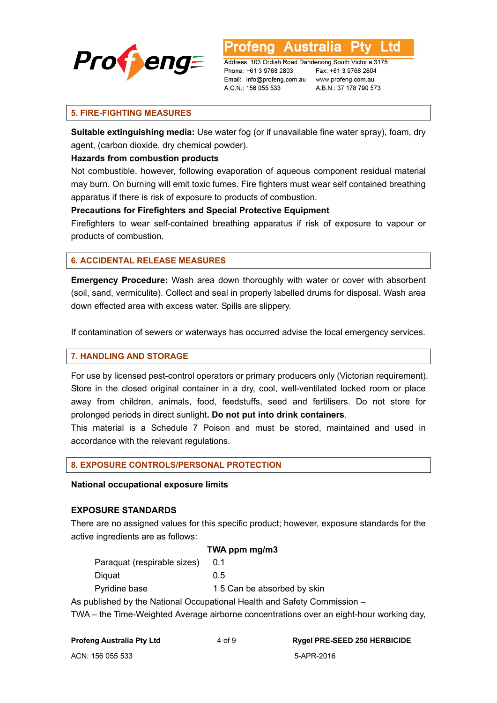

**Australia** L TO

Address: 103 Ordish Road Dandenong South Victoria 3175 Phone: +61 3 9768 2803 Email: info@profeng.com.au www.profeng.com.au A.C.N.: 156 055 533

Fax: +61 3 9768 2804 A.B.N.: 37 178 790 573

#### **5. FIRE-FIGHTING MEASURES**

**Suitable extinguishing media:** Use water fog (or if unavailable fine water spray), foam, dry agent, (carbon dioxide, dry chemical powder).

#### **Hazards from combustion products**

Not combustible, however, following evaporation of aqueous component residual material may burn. On burning will emit toxic fumes. Fire fighters must wear self contained breathing apparatus if there is risk of exposure to products of combustion.

#### **Precautions for Firefighters and Special Protective Equipment**

Firefighters to wear self-contained breathing apparatus if risk of exposure to vapour or products of combustion.

#### **6. ACCIDENTAL RELEASE MEASURES**

**Emergency Procedure:** Wash area down thoroughly with water or cover with absorbent (soil, sand, vermiculite). Collect and seal in properly labelled drums for disposal. Wash area down effected area with excess water. Spills are slippery.

If contamination of sewers or waterways has occurred advise the local emergency services.

#### **7. HANDLING AND STORAGE**

For use by licensed pest-control operators or primary producers only (Victorian requirement). Store in the closed original container in a dry, cool, well-ventilated locked room or place away from children, animals, food, feedstuffs, seed and fertilisers. Do not store for prolonged periods in direct sunlight**. Do not put into drink containers**.

This material is a Schedule 7 Poison and must be stored, maintained and used in accordance with the relevant regulations.

#### **8. EXPOSURE CONTROLS/PERSONAL PROTECTION**

#### **National occupational exposure limits**

#### **EXPOSURE STANDARDS**

There are no assigned values for this specific product; however, exposure standards for the active ingredients are as follows:

 **TWA ppm mg/m3** 

| Paraquat (respirable sizes) | 0.1                        |
|-----------------------------|----------------------------|
| Diguat                      | 0.5                        |
| Pyridine base               | 15 Can be absorbed by skin |

As published by the National Occupational Health and Safety Commission –

TWA – the Time-Weighted Average airborne concentrations over an eight-hour working day,

**Profeng Australia Pty Ltd** 4 of 9 **Rygel PRE-SEED 250 HERBICIDE**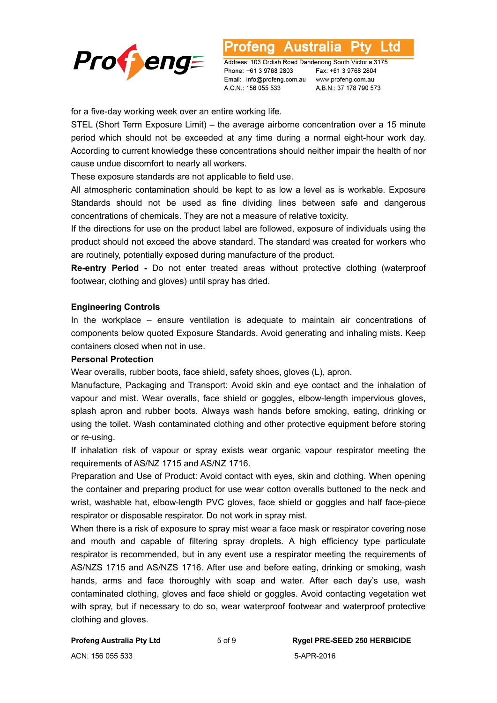

Australia l td otena

Address: 103 Ordish Road Dandenong South Victoria 3175 Phone: +61 3 9768 2803 Email: info@profeng.com.au www.profeng.com.au A.C.N.: 156 055 533

Fax: +61 3 9768 2804 A.B.N.: 37 178 790 573

for a five-day working week over an entire working life.

STEL (Short Term Exposure Limit) – the average airborne concentration over a 15 minute period which should not be exceeded at any time during a normal eight-hour work day. According to current knowledge these concentrations should neither impair the health of nor cause undue discomfort to nearly all workers.

These exposure standards are not applicable to field use.

All atmospheric contamination should be kept to as low a level as is workable. Exposure Standards should not be used as fine dividing lines between safe and dangerous concentrations of chemicals. They are not a measure of relative toxicity.

If the directions for use on the product label are followed, exposure of individuals using the product should not exceed the above standard. The standard was created for workers who are routinely, potentially exposed during manufacture of the product.

**Re-entry Period -** Do not enter treated areas without protective clothing (waterproof footwear, clothing and gloves) until spray has dried.

#### **Engineering Controls**

In the workplace – ensure ventilation is adequate to maintain air concentrations of components below quoted Exposure Standards. Avoid generating and inhaling mists. Keep containers closed when not in use.

#### **Personal Protection**

Wear overalls, rubber boots, face shield, safety shoes, gloves (L), apron.

Manufacture, Packaging and Transport: Avoid skin and eye contact and the inhalation of vapour and mist. Wear overalls, face shield or goggles, elbow-length impervious gloves, splash apron and rubber boots. Always wash hands before smoking, eating, drinking or using the toilet. Wash contaminated clothing and other protective equipment before storing or re-using.

If inhalation risk of vapour or spray exists wear organic vapour respirator meeting the requirements of AS/NZ 1715 and AS/NZ 1716.

Preparation and Use of Product: Avoid contact with eyes, skin and clothing. When opening the container and preparing product for use wear cotton overalls buttoned to the neck and wrist, washable hat, elbow-length PVC gloves, face shield or goggles and half face-piece respirator or disposable respirator. Do not work in spray mist.

When there is a risk of exposure to spray mist wear a face mask or respirator covering nose and mouth and capable of filtering spray droplets. A high efficiency type particulate respirator is recommended, but in any event use a respirator meeting the requirements of AS/NZS 1715 and AS/NZS 1716. After use and before eating, drinking or smoking, wash hands, arms and face thoroughly with soap and water. After each day's use, wash contaminated clothing, gloves and face shield or goggles. Avoid contacting vegetation wet with spray, but if necessary to do so, wear waterproof footwear and waterproof protective clothing and gloves.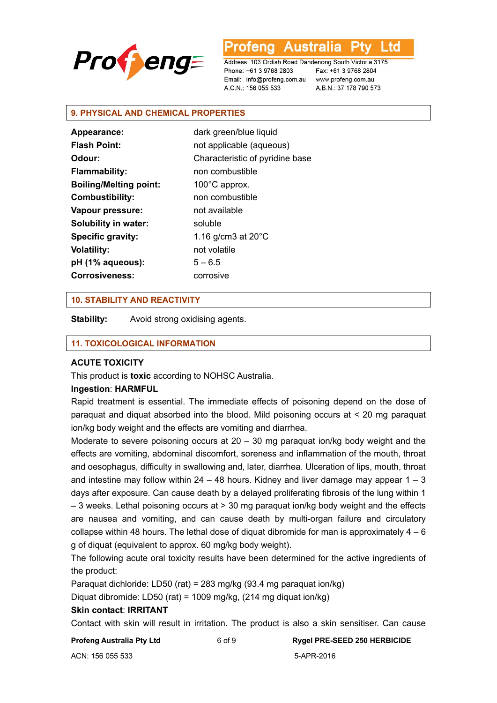

L td Australia 'ena

Address: 103 Ordish Road Dandenong South Victoria 3175 Phone: +61 3 9768 2803 Email: info@profeng.com.au A.C.N.: 156 055 533

Fax: +61 3 9768 2804 www.profeng.com.au A.B.N.: 37 178 790 573

#### **9. PHYSICAL AND CHEMICAL PROPERTIES**

| <b>Appearance:</b>            | dark green/blue liquid          |
|-------------------------------|---------------------------------|
| <b>Flash Point:</b>           | not applicable (aqueous)        |
| Odour:                        | Characteristic of pyridine base |
| Flammability:                 | non combustible                 |
| <b>Boiling/Melting point:</b> | $100^{\circ}$ C approx.         |
| <b>Combustibility:</b>        | non combustible                 |
| Vapour pressure:              | not available                   |
| <b>Solubility in water:</b>   | soluble                         |
| <b>Specific gravity:</b>      | 1.16 g/cm3 at $20^{\circ}$ C    |
| <b>Volatility:</b>            | not volatile                    |
| pH (1% aqueous):              | $5 - 6.5$                       |
| <b>Corrosiveness:</b>         | corrosive                       |
|                               |                                 |

#### **10. STABILITY AND REACTIVITY**

**Stability:** Avoid strong oxidising agents.

#### **11. TOXICOLOGICAL INFORMATION**

#### **ACUTE TOXICITY**

This product is **toxic** according to NOHSC Australia.

#### **Ingestion**: **HARMFUL**

Rapid treatment is essential. The immediate effects of poisoning depend on the dose of paraquat and diquat absorbed into the blood. Mild poisoning occurs at < 20 mg paraquat ion/kg body weight and the effects are vomiting and diarrhea.

Moderate to severe poisoning occurs at  $20 - 30$  mg paraquat ion/kg body weight and the effects are vomiting, abdominal discomfort, soreness and inflammation of the mouth, throat and oesophagus, difficulty in swallowing and, later, diarrhea. Ulceration of lips, mouth, throat and intestine may follow within 24 – 48 hours. Kidney and liver damage may appear  $1 - 3$ days after exposure. Can cause death by a delayed proliferating fibrosis of the lung within 1 – 3 weeks. Lethal poisoning occurs at > 30 mg paraquat ion/kg body weight and the effects are nausea and vomiting, and can cause death by multi-organ failure and circulatory collapse within 48 hours. The lethal dose of diquat dibromide for man is approximately  $4 - 6$ g of diquat (equivalent to approx. 60 mg/kg body weight).

The following acute oral toxicity results have been determined for the active ingredients of the product:

Paraquat dichloride: LD50 (rat) = 283 mg/kg (93.4 mg paraquat ion/kg)

Diquat dibromide: LD50 (rat) = 1009 mg/kg, (214 mg diquat ion/kg)

#### **Skin contact**: **IRRITANT**

Contact with skin will result in irritation. The product is also a skin sensitiser. Can cause

| Profeng Australia Pty Ltd | 6 of 9 | <b>Rygel PRE-SEED 250 HERBICIDE</b> |
|---------------------------|--------|-------------------------------------|
| ACN: 156 055 533          |        | 5-APR-2016                          |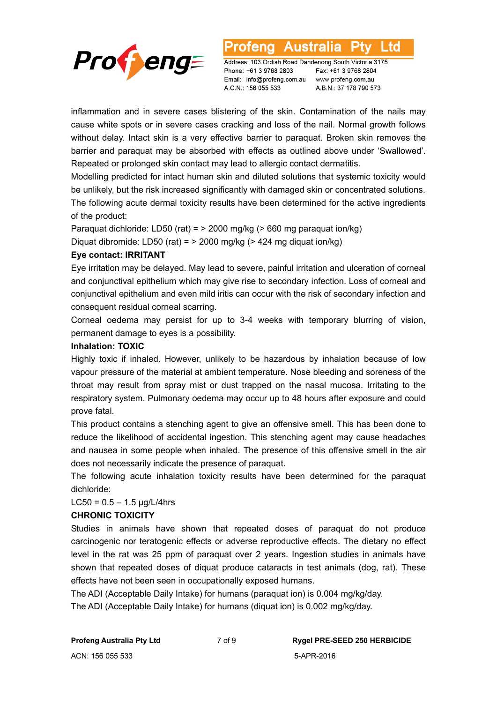

Australia L td otena

Address: 103 Ordish Road Dandenong South Victoria 3175 Phone: +61 3 9768 2803 Email: info@profeng.com.au A.C.N.: 156 055 533

Fax: +61 3 9768 2804 www.profeng.com.au A.B.N.: 37 178 790 573

inflammation and in severe cases blistering of the skin. Contamination of the nails may cause white spots or in severe cases cracking and loss of the nail. Normal growth follows without delay. Intact skin is a very effective barrier to paraquat. Broken skin removes the barrier and paraquat may be absorbed with effects as outlined above under 'Swallowed'. Repeated or prolonged skin contact may lead to allergic contact dermatitis.

Modelling predicted for intact human skin and diluted solutions that systemic toxicity would be unlikely, but the risk increased significantly with damaged skin or concentrated solutions. The following acute dermal toxicity results have been determined for the active ingredients of the product:

Paraquat dichloride: LD50 (rat) = > 2000 mg/kg (> 660 mg paraquat ion/kg) Diquat dibromide: LD50 (rat) =  $>$  2000 mg/kg ( $>$  424 mg diquat ion/kg)

#### **Eye contact: IRRITANT**

Eye irritation may be delayed. May lead to severe, painful irritation and ulceration of corneal and conjunctival epithelium which may give rise to secondary infection. Loss of corneal and conjunctival epithelium and even mild iritis can occur with the risk of secondary infection and consequent residual corneal scarring.

Corneal oedema may persist for up to 3-4 weeks with temporary blurring of vision, permanent damage to eyes is a possibility.

#### **Inhalation: TOXIC**

Highly toxic if inhaled. However, unlikely to be hazardous by inhalation because of low vapour pressure of the material at ambient temperature. Nose bleeding and soreness of the throat may result from spray mist or dust trapped on the nasal mucosa. Irritating to the respiratory system. Pulmonary oedema may occur up to 48 hours after exposure and could prove fatal.

This product contains a stenching agent to give an offensive smell. This has been done to reduce the likelihood of accidental ingestion. This stenching agent may cause headaches and nausea in some people when inhaled. The presence of this offensive smell in the air does not necessarily indicate the presence of paraquat.

The following acute inhalation toxicity results have been determined for the paraquat dichloride:

#### $LC50 = 0.5 - 1.5$   $\mu$ g/L/4hrs

#### **CHRONIC TOXICITY**

Studies in animals have shown that repeated doses of paraquat do not produce carcinogenic nor teratogenic effects or adverse reproductive effects. The dietary no effect level in the rat was 25 ppm of paraquat over 2 years. Ingestion studies in animals have shown that repeated doses of diquat produce cataracts in test animals (dog, rat). These effects have not been seen in occupationally exposed humans.

The ADI (Acceptable Daily Intake) for humans (paraquat ion) is 0.004 mg/kg/day.

The ADI (Acceptable Daily Intake) for humans (diquat ion) is 0.002 mg/kg/day.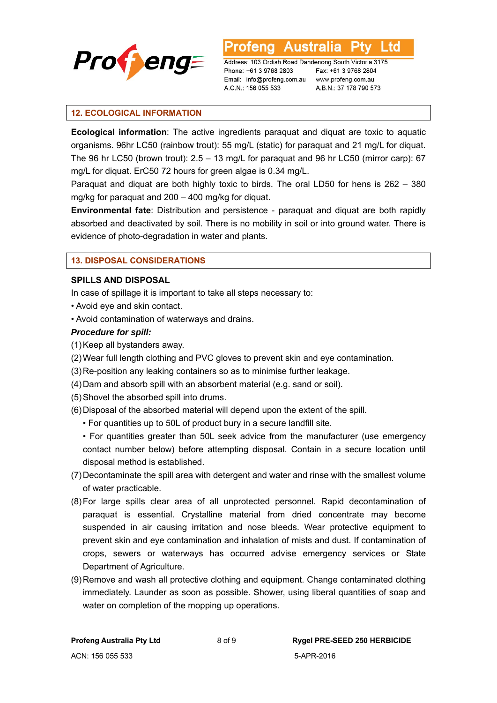

**Australia** Address: 103 Ordish Road Dandenong South Victoria 3175

Phone: +61 3 9768 2803 Email: info@profeng.com.au A.C.N.: 156 055 533

Fax: +61 3 9768 2804 www.profeng.com.au A.B.N.: 37 178 790 573

L td

#### **12. ECOLOGICAL INFORMATION**

**Ecological information**: The active ingredients paraquat and diquat are toxic to aquatic organisms. 96hr LC50 (rainbow trout): 55 mg/L (static) for paraquat and 21 mg/L for diquat. The 96 hr LC50 (brown trout): 2.5 – 13 mg/L for paraquat and 96 hr LC50 (mirror carp): 67 mg/L for diquat. ErC50 72 hours for green algae is 0.34 mg/L.

Paraquat and diquat are both highly toxic to birds. The oral LD50 for hens is 262 – 380 mg/kg for paraquat and 200 – 400 mg/kg for diquat.

**Environmental fate**: Distribution and persistence - paraquat and diquat are both rapidly absorbed and deactivated by soil. There is no mobility in soil or into ground water. There is evidence of photo-degradation in water and plants.

#### **13. DISPOSAL CONSIDERATIONS**

#### **SPILLS AND DISPOSAL**

In case of spillage it is important to take all steps necessary to:

- Avoid eye and skin contact.
- Avoid contamination of waterways and drains.

#### *Procedure for spill:*

- (1) Keep all bystanders away.
- (2) Wear full length clothing and PVC gloves to prevent skin and eye contamination.
- (3) Re-position any leaking containers so as to minimise further leakage.
- (4) Dam and absorb spill with an absorbent material (e.g. sand or soil).
- (5) Shovel the absorbed spill into drums.
- (6) Disposal of the absorbed material will depend upon the extent of the spill.
	- For quantities up to 50L of product bury in a secure landfill site.
	- For quantities greater than 50L seek advice from the manufacturer (use emergency contact number below) before attempting disposal. Contain in a secure location until disposal method is established.
- (7) Decontaminate the spill area with detergent and water and rinse with the smallest volume of water practicable.
- (8) For large spills clear area of all unprotected personnel. Rapid decontamination of paraquat is essential. Crystalline material from dried concentrate may become suspended in air causing irritation and nose bleeds. Wear protective equipment to prevent skin and eye contamination and inhalation of mists and dust. If contamination of crops, sewers or waterways has occurred advise emergency services or State Department of Agriculture.
- (9) Remove and wash all protective clothing and equipment. Change contaminated clothing immediately. Launder as soon as possible. Shower, using liberal quantities of soap and water on completion of the mopping up operations.